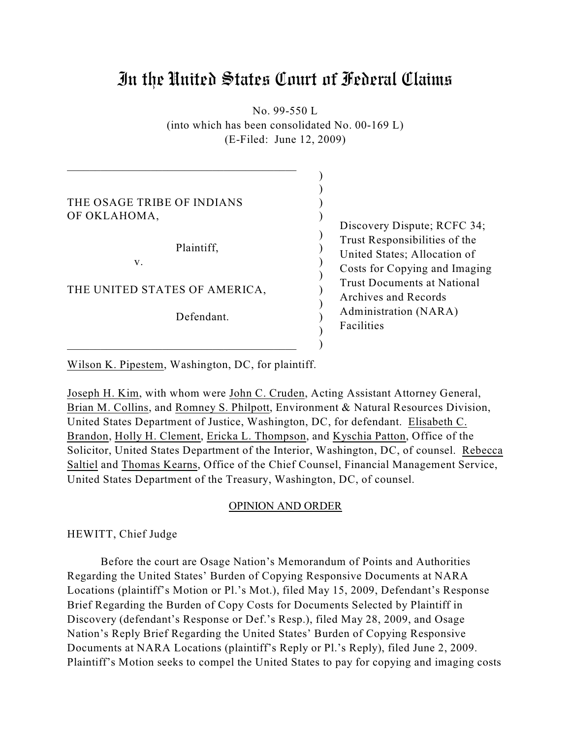# In the United States Court of Federal Claims

No. 99-550 L (into which has been consolidated No. 00-169 L) (E-Filed: June 12, 2009)

| THE OSAGE TRIBE OF INDIANS<br>OF OKLAHOMA,<br>Plaintiff,<br>V.<br>THE UNITED STATES OF AMERICA,<br>Defendant. | Discovery Dispute; RCFC 34;<br>Trust Responsibilities of the<br>United States; Allocation of<br>Costs for Copying and Imaging<br><b>Trust Documents at National</b><br>Archives and Records<br>Administration (NARA) |
|---------------------------------------------------------------------------------------------------------------|----------------------------------------------------------------------------------------------------------------------------------------------------------------------------------------------------------------------|
|                                                                                                               | Facilities                                                                                                                                                                                                           |

Wilson K. Pipestem, Washington, DC, for plaintiff.

Joseph H. Kim, with whom were John C. Cruden, Acting Assistant Attorney General, Brian M. Collins, and Romney S. Philpott, Environment & Natural Resources Division, United States Department of Justice, Washington, DC, for defendant. Elisabeth C. Brandon, Holly H. Clement, Ericka L. Thompson, and Kyschia Patton, Office of the Solicitor, United States Department of the Interior, Washington, DC, of counsel. Rebecca Saltiel and Thomas Kearns, Office of the Chief Counsel, Financial Management Service, United States Department of the Treasury, Washington, DC, of counsel.

# OPINION AND ORDER

HEWITT, Chief Judge

Before the court are Osage Nation's Memorandum of Points and Authorities Regarding the United States' Burden of Copying Responsive Documents at NARA Locations (plaintiff's Motion or Pl.'s Mot.), filed May 15, 2009, Defendant's Response Brief Regarding the Burden of Copy Costs for Documents Selected by Plaintiff in Discovery (defendant's Response or Def.'s Resp.), filed May 28, 2009, and Osage Nation's Reply Brief Regarding the United States' Burden of Copying Responsive Documents at NARA Locations (plaintiff's Reply or Pl.'s Reply), filed June 2, 2009. Plaintiff's Motion seeks to compel the United States to pay for copying and imaging costs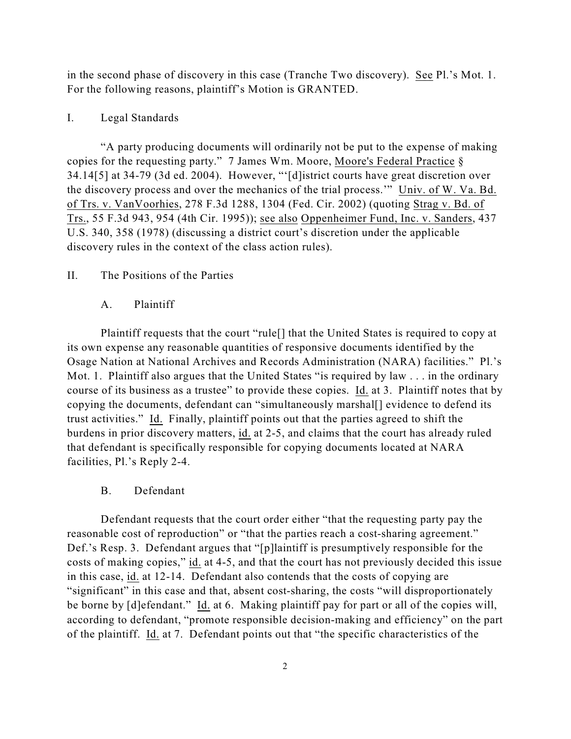in the second phase of discovery in this case (Tranche Two discovery). See Pl.'s Mot. 1. For the following reasons, plaintiff's Motion is GRANTED.

# I. Legal Standards

"A party producing documents will ordinarily not be put to the expense of making copies for the requesting party." 7 James Wm. Moore, Moore's Federal Practice § 34.14[5] at 34-79 (3d ed. 2004). However, "'[d]istrict courts have great discretion over the discovery process and over the mechanics of the trial process.'" Univ. of W. Va. Bd. of Trs. v. VanVoorhies, 278 F.3d 1288, 1304 (Fed. Cir. 2002) (quoting Strag v. Bd. of Trs., 55 F.3d 943, 954 (4th Cir. 1995)); see also Oppenheimer Fund, Inc. v. Sanders, 437 U.S. 340, 358 (1978) (discussing a district court's discretion under the applicable discovery rules in the context of the class action rules).

## II. The Positions of the Parties

#### A. Plaintiff

Plaintiff requests that the court "rule[] that the United States is required to copy at its own expense any reasonable quantities of responsive documents identified by the Osage Nation at National Archives and Records Administration (NARA) facilities." Pl.'s Mot. 1. Plaintiff also argues that the United States "is required by law . . . in the ordinary course of its business as a trustee" to provide these copies. Id. at 3. Plaintiff notes that by copying the documents, defendant can "simultaneously marshal[] evidence to defend its trust activities." Id. Finally, plaintiff points out that the parties agreed to shift the burdens in prior discovery matters, id. at 2-5, and claims that the court has already ruled that defendant is specifically responsible for copying documents located at NARA facilities, Pl.'s Reply 2-4.

#### B. Defendant

Defendant requests that the court order either "that the requesting party pay the reasonable cost of reproduction" or "that the parties reach a cost-sharing agreement." Def.'s Resp. 3. Defendant argues that "[p]laintiff is presumptively responsible for the costs of making copies," id. at 4-5, and that the court has not previously decided this issue in this case, id. at 12-14. Defendant also contends that the costs of copying are "significant" in this case and that, absent cost-sharing, the costs "will disproportionately be borne by [d]efendant." Id. at 6. Making plaintiff pay for part or all of the copies will, according to defendant, "promote responsible decision-making and efficiency" on the part of the plaintiff. Id. at 7. Defendant points out that "the specific characteristics of the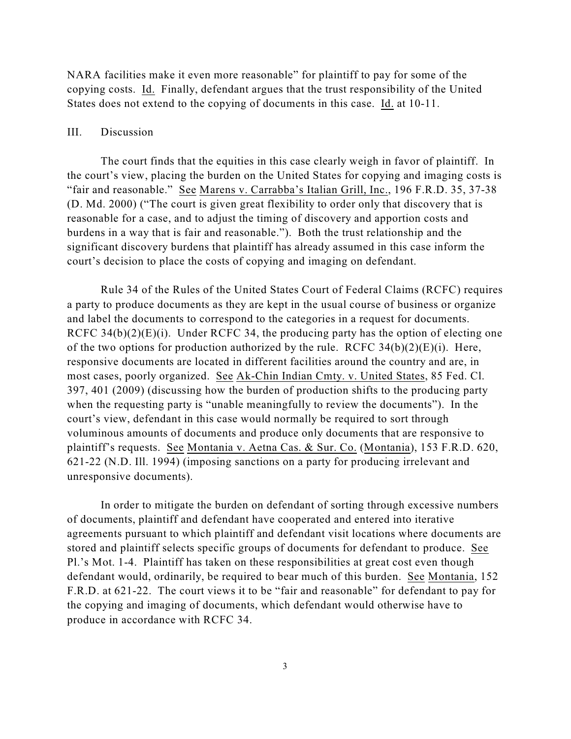NARA facilities make it even more reasonable" for plaintiff to pay for some of the copying costs. Id. Finally, defendant argues that the trust responsibility of the United States does not extend to the copying of documents in this case. Id. at 10-11.

### III. Discussion

The court finds that the equities in this case clearly weigh in favor of plaintiff. In the court's view, placing the burden on the United States for copying and imaging costs is "fair and reasonable." See Marens v. Carrabba's Italian Grill, Inc., 196 F.R.D. 35, 37-38 (D. Md. 2000) ("The court is given great flexibility to order only that discovery that is reasonable for a case, and to adjust the timing of discovery and apportion costs and burdens in a way that is fair and reasonable."). Both the trust relationship and the significant discovery burdens that plaintiff has already assumed in this case inform the court's decision to place the costs of copying and imaging on defendant.

Rule 34 of the Rules of the United States Court of Federal Claims (RCFC) requires a party to produce documents as they are kept in the usual course of business or organize and label the documents to correspond to the categories in a request for documents. RCFC 34(b) $(2)(E)(i)$ . Under RCFC 34, the producing party has the option of electing one of the two options for production authorized by the rule. RCFC  $34(b)(2)(E)(i)$ . Here, responsive documents are located in different facilities around the country and are, in most cases, poorly organized. See Ak-Chin Indian Cmty. v. United States, 85 Fed. Cl. 397, 401 (2009) (discussing how the burden of production shifts to the producing party when the requesting party is "unable meaningfully to review the documents"). In the court's view, defendant in this case would normally be required to sort through voluminous amounts of documents and produce only documents that are responsive to plaintiff's requests. See Montania v. Aetna Cas. & Sur. Co. (Montania), 153 F.R.D. 620, 621-22 (N.D. Ill. 1994) (imposing sanctions on a party for producing irrelevant and unresponsive documents).

In order to mitigate the burden on defendant of sorting through excessive numbers of documents, plaintiff and defendant have cooperated and entered into iterative agreements pursuant to which plaintiff and defendant visit locations where documents are stored and plaintiff selects specific groups of documents for defendant to produce. See Pl.'s Mot. 1-4. Plaintiff has taken on these responsibilities at great cost even though defendant would, ordinarily, be required to bear much of this burden. See Montania, 152 F.R.D. at 621-22. The court views it to be "fair and reasonable" for defendant to pay for the copying and imaging of documents, which defendant would otherwise have to produce in accordance with RCFC 34.